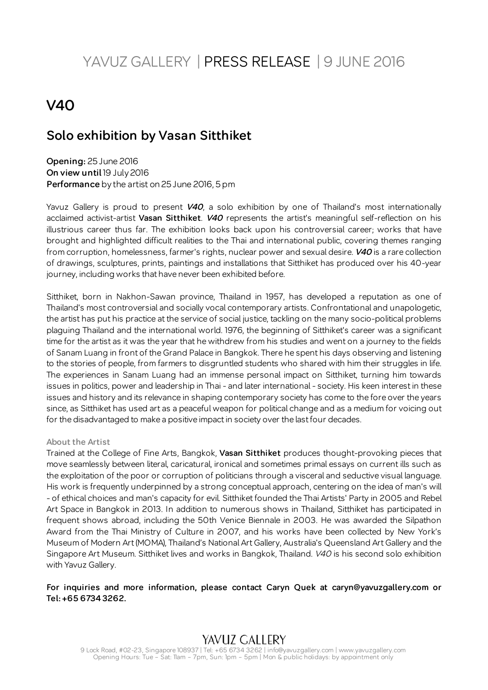# YAVUZ GALLERY | PRESS RELEASE | 9 JUNE 2016

# **V40**

## **Solo exhibition by Vasan Sitthiket**

**Opening:** 25 June 2016 **On view until** 19 July 2016 **Performance** by the artist on 25 June 2016, 5 pm

Yavuz Gallery is proud to present **V40**, a solo exhibition by one of Thailand's most internationally acclaimed activist-artist **Vasan Sitthiket**. **V40** represents the artist's meaningful self-reflection on his illustrious career thus far. The exhibition looks back upon his controversial career; works that have brought and highlighted difficult realities to the Thai and international public, covering themes ranging from corruption, homelessness, farmer's rights, nuclear power and sexual desire. **V40** is a rare collection of drawings, sculptures, prints, paintings and installations that Sitthiket has produced over his 40-year journey, including works that have never been exhibited before.

Sitthiket, born in Nakhon-Sawan province, Thailand in 1957, has developed a reputation as one of Thailand's most controversial and socially vocal contemporary artists. Confrontational and unapologetic, the artist has put his practice at the service of social justice, tackling on the many socio-political problems plaguing Thailand and the international world. 1976, the beginning of Sitthiket's career was a significant time for the artist as it was the year that he withdrew from his studies and went on a journey to the fields of Sanam Luang in front of the Grand Palace in Bangkok. There he spent his days observing and listening to the stories of people, from farmers to disgruntled students who shared with him their struggles in life. The experiences in Sanam Luang had an immense personal impact on Sitthiket, turning him towards issues in politics, power and leadership in Thai - and later international - society. His keen interest in these issues and history and its relevance in shaping contemporary society has come to the fore over the years since, as Sitthiket has used art as a peaceful weapon for political change and as a medium for voicing out for the disadvantaged to make a positive impact in society over the last four decades.

### **About the Artist**

Trained at the College of Fine Arts, Bangkok, **Vasan Sitthiket** produces thought-provoking pieces that move seamlessly between literal, caricatural, ironical and sometimes primal essays on current ills such as the exploitation of the poor or corruption of politicians through a visceral and seductive visual language. His work is frequently underpinned by a strong conceptual approach, centering on the idea of man's will - of ethical choices and man's capacity for evil. Sitthiket founded the Thai Artists' Party in 2005 and Rebel Art Space in Bangkok in 2013. In addition to numerous shows in Thailand, Sitthiket has participated in frequent shows abroad, including the 50th Venice Biennale in 2003. He was awarded the Silpathon Award from the Thai Ministry of Culture in 2007, and his works have been collected by New York's Museum of Modern Art (MOMA), Thailand's National Art Gallery, Australia's Queensland Art Gallery and the Singapore Art Museum. Sitthiket lives and works in Bangkok, Thailand. V40 is his second solo exhibition with Yavuz Gallery.

**For inquiries and more information, please contact Caryn Quek at caryn@yavuzgallery.com or Tel: +65 6734 3262.**

## YAVUZ GALLERY

9 Lock Road, #02-23, Singapore 108937 | Tel: +65 6734 3262 | info@yavuzgallery.com | www.yavuzgallery.com Opening Hours: Tue – Sat: 11am – 7pm, Sun: 1pm – 5pm | Mon & public holidays: by appointment only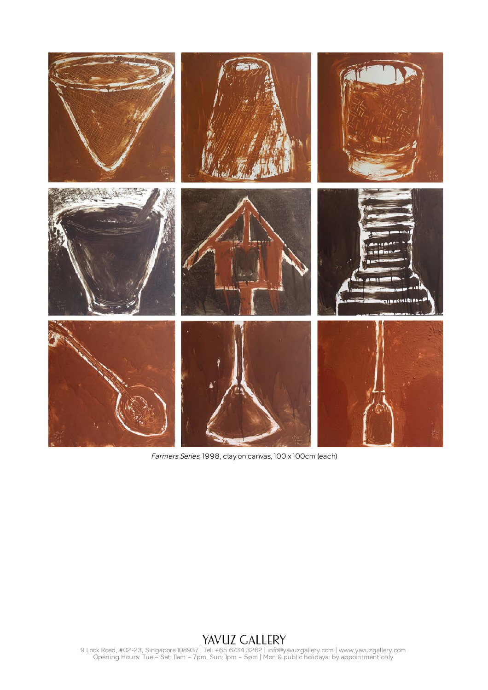

Farmers Series, 1998, clay on canvas, 100 x 100cm (each)

9 Lock Road, #02-23, Singapore 108937 | Tel: +65 6734 3262 | info@yavuzgallery.com | www.yavuzgallery.com Opening Hours: Tue – Sat: 11am – 7pm, Sun: 1pm – 5pm | Mon & public holidays: by appointment only